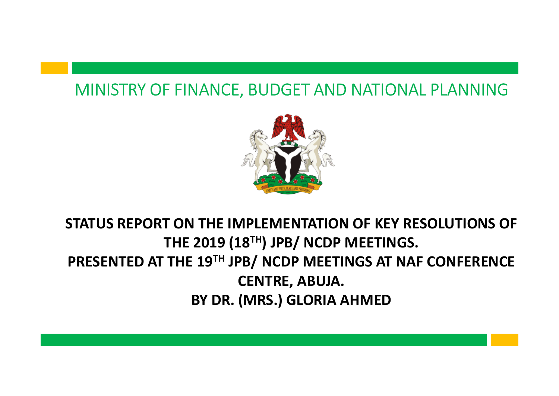#### MINISTRY OF FINANCE, BUDGET AND NATIONAL PLANNING



#### STATUS REPORT ON THE IMPLEMENTATION OF KEY RESOLUTIONS OF THE 2019 (18<sup>TH</sup>) JPB/ NCDP MEETINGS. PRESENTED AT THE 19TH JPB/ NCDP MEETINGS AT NAF CONFERENCE CENTRE, ABUJA. BY DR. (MRS.) GLORIA AHMED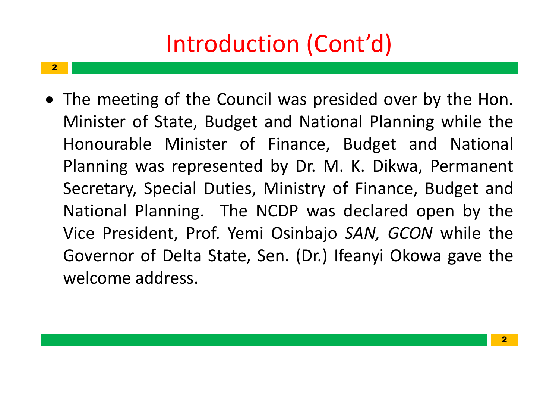## Introduction (Cont'd)

 $2$  and  $2$  and  $2$  and  $2$  and  $2$  and  $2$  and  $2$ 

Introduction (Cont'd)<br>
• The meeting of the Council was presided over b<br>
Minister of State, Budget and National Planning<br>
Honourable Minister of Finance, Budget and **Introduction (Cont'd)**<br>The meeting of the Council was presided over<br>Minister of State, Budget and National Plannir<br>Honourable Minister of Finance, Budget ar<br>Planning was represented by Dr. M. K. Dikwa, **Introduction (Cont'd)**<br>The meeting of the Council was presided over by th<br>Minister of State, Budget and National Planning wl<br>Honourable Minister of Finance, Budget and N<br>Planning was represented by Dr. M. K. Dikwa, Peri<br>S **Introduction (Cont'd)**<br>The meeting of the Council was presided c<br>Minister of State, Budget and National Pla<br>Honourable Minister of Finance, Budge<br>Planning was represented by Dr. M. K. Di<br>Secretary, Special Duties, Ministr Secretary, Special Duties, Ministry of Finance, Budget and The meeting of the Council was presided over by<br>Minister of State, Budget and National Planning<br>Honourable Minister of Finance, Budget and<br>Planning was represented by Dr. M. K. Dikwa, P<br>Secretary, Special Duties, Ministry The meeting of the Council was presided over by<br>Minister of State, Budget and National Planning v<br>Honourable Minister of Finance, Budget and<br>Planning was represented by Dr. M. K. Dikwa, Pe<br>Secretary, Special Duties, Minist The meeting of the Council was presided over l<br>Minister of State, Budget and National Plannin<br>Honourable Minister of Finance, Budget an<br>Planning was represented by Dr. M. K. Dikwa,<br>Secretary, Special Duties, Ministry of Fi Minister of State, Budget and Nationa<br>Honourable Minister of Finance, B<br>Planning was represented by Dr. M.<br>Secretary, Special Duties, Ministry of<br>National Planning. The NCDP was d<br>Vice President, Prof. Yemi Osinbajo S<br>Gove **Cont'd)**<br>presided over by the Hon.<br>ational Planning while the<br>ce, Budget and National (Cont'd)<br>
s presided over by the Hon.<br>
National Planning while the<br>
nce, Budget and National<br>
Dr. M. K. Dikwa, Permanent nt'd)<br>
Sided over by the Hon.<br>
Hanning while the<br>
Budget and National<br>
K. Dikwa, Permanent<br>
f Finance, Budget and **Cont'd)**<br>as presided over by the Hon.<br>National Planning while the<br>ance, Budget and National<br>Dr. M. K. Dikwa, Permanent<br>istry of Finance, Budget and<br><sup>9</sup> was declared open by the presided over by the Hon.<br>Jational Planning while the<br>ice, Budget and National<br>r. M. K. Dikwa, Permanent<br>try of Finance, Budget and<br>was declared open by the<br>bajo *SAN, GCON* while the<br>Dr.) Ifeanyi Okowa gave the ided over by the Hon.<br>
hal Planning while the<br>
Budget and National<br>
K. Dikwa, Permanent<br>
f Finance, Budget and<br>
declared open by the<br>
SAN, GCON while the<br>
eanyi Okowa gave the cil was presided over by the Hon.<br>
and National Planning while the<br>
Finance, Budget and National<br>
d by Dr. M. K. Dikwa, Permanent<br>
Ministry of Finance, Budget and<br>
NCDP was declared open by the<br>
i Osinbajo *SAN, GCON* whil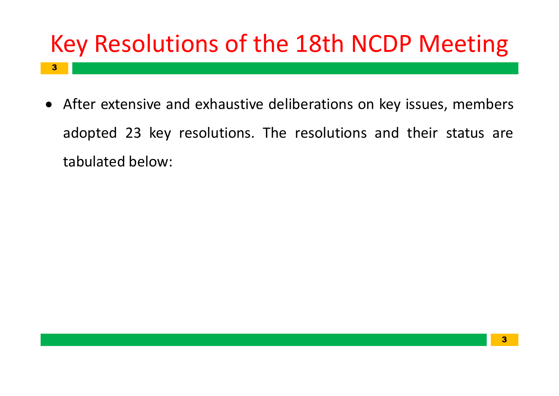## Key Resolutions of the 18th NCDP Meeting

3. **3. Andrew Street, School Street, School Street, School Street, School Street, School Street, School Street,** 

Key Resolutions of the 18th NCDP N<br>• After extensive and exhaustive deliberations on key issue<br>adopted 23 key resolutions. The resolutions and thei **Ey Resolutions of the 18th NCD**<br>After extensive and exhaustive deliberations on key<br>adopted 23 key resolutions. The resolutions and<br>tabulated below: **Example 18 AM**<br>**EXECTE SECONTERVIES A**<br>There extensive and exhaustive deliberation<br>adopted 23 key resolutions. The resolution<br>tabulated below: **VCDP Meeting**<br>on key issues, members<br>ns and their status are **18th NCDP Meeting**<br>Derations on key issues, members<br>resolutions and their status are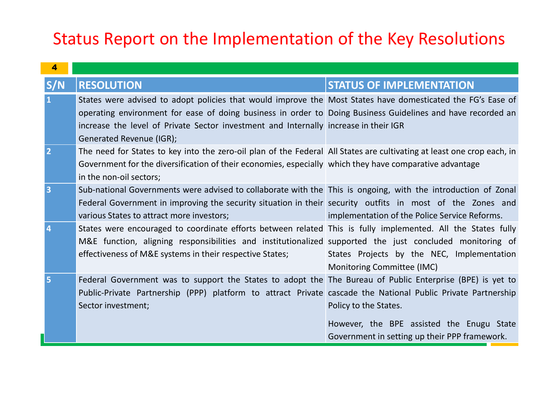| Status Report on the Implementation of the Key Resolutions |  |                                                                                                                                                                                                                                                                                                                                                                                                                                                                                                                                                                                                                                                                                                                                                                                                                                                                                                                                                                                                                                                                                                                       |                                                                          |
|------------------------------------------------------------|--|-----------------------------------------------------------------------------------------------------------------------------------------------------------------------------------------------------------------------------------------------------------------------------------------------------------------------------------------------------------------------------------------------------------------------------------------------------------------------------------------------------------------------------------------------------------------------------------------------------------------------------------------------------------------------------------------------------------------------------------------------------------------------------------------------------------------------------------------------------------------------------------------------------------------------------------------------------------------------------------------------------------------------------------------------------------------------------------------------------------------------|--------------------------------------------------------------------------|
|                                                            |  |                                                                                                                                                                                                                                                                                                                                                                                                                                                                                                                                                                                                                                                                                                                                                                                                                                                                                                                                                                                                                                                                                                                       |                                                                          |
|                                                            |  | <b>RESOLUTION</b>                                                                                                                                                                                                                                                                                                                                                                                                                                                                                                                                                                                                                                                                                                                                                                                                                                                                                                                                                                                                                                                                                                     | <b>STATUS OF IMPLEMENTATION</b>                                          |
|                                                            |  | States were advised to adopt policies that would improve the Most States have domesticated the FG's Ease of<br>operating environment for ease of doing business in order to Doing Business Guidelines and have recorded an<br>increase the level of Private Sector investment and Internally increase in their IGR<br>Generated Revenue (IGR);<br>The need for States to key into the zero-oil plan of the Federal All States are cultivating at least one crop each, in<br>Government for the diversification of their economies, especially which they have comparative advantage<br>in the non-oil sectors;<br>Sub-national Governments were advised to collaborate with the This is ongoing, with the introduction of Zonal<br>Federal Government in improving the security situation in their security outfits in most of the Zones and<br>various States to attract more investors;<br>States were encouraged to coordinate efforts between related This is fully implemented. All the States fully<br>M&E function, aligning responsibilities and institutionalized supported the just concluded monitoring of | implementation of the Police Service Reforms.                            |
|                                                            |  | effectiveness of M&E systems in their respective States;                                                                                                                                                                                                                                                                                                                                                                                                                                                                                                                                                                                                                                                                                                                                                                                                                                                                                                                                                                                                                                                              | States Projects by the NEC, Implementation<br>Monitoring Committee (IMC) |
|                                                            |  | Federal Government was to support the States to adopt the The Bureau of Public Enterprise (BPE) is yet to<br>Public-Private Partnership (PPP) platform to attract Private cascade the National Public Private Partnership<br>Sector investment;                                                                                                                                                                                                                                                                                                                                                                                                                                                                                                                                                                                                                                                                                                                                                                                                                                                                       | Policy to the States.                                                    |
|                                                            |  |                                                                                                                                                                                                                                                                                                                                                                                                                                                                                                                                                                                                                                                                                                                                                                                                                                                                                                                                                                                                                                                                                                                       | However, the BPE assisted the Enugu State                                |
|                                                            |  |                                                                                                                                                                                                                                                                                                                                                                                                                                                                                                                                                                                                                                                                                                                                                                                                                                                                                                                                                                                                                                                                                                                       | Government in setting up their PPP framework.                            |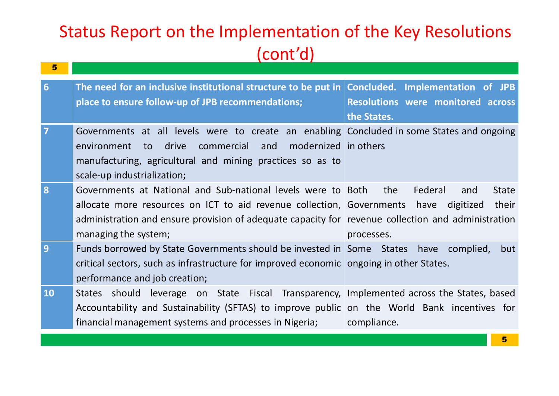| (cont'd)       |                                                                                                                                                                                                                                                                          |                                                                           |
|----------------|--------------------------------------------------------------------------------------------------------------------------------------------------------------------------------------------------------------------------------------------------------------------------|---------------------------------------------------------------------------|
| 6 <sup>1</sup> | The need for an inclusive institutional structure to be put in Concluded. Implementation of JPB                                                                                                                                                                          |                                                                           |
|                | place to ensure follow-up of JPB recommendations;                                                                                                                                                                                                                        | Resolutions were monitored across<br>the States.                          |
| $\overline{7}$ | Governments at all levels were to create an enabling Concluded in some States and ongoing<br>commercial and modernized in others<br>environment to drive<br>manufacturing, agricultural and mining practices so as to<br>scale-up industrialization;                     |                                                                           |
| 8              | Governments at National and Sub-national levels were to Both<br>allocate more resources on ICT to aid revenue collection, Governments have<br>administration and ensure provision of adequate capacity for revenue collection and administration<br>managing the system; | the<br>Federal<br><b>State</b><br>and<br>digitized<br>their<br>processes. |
| 9              | Funds borrowed by State Governments should be invested in Some States have complied,<br>critical sectors, such as infrastructure for improved economic ongoing in other States.<br>performance and job creation;                                                         | but                                                                       |
| <b>10</b>      | States should leverage on State Fiscal Transparency, Implemented across the States, based<br>Accountability and Sustainability (SFTAS) to improve public on the World Bank incentives for<br>financial management systems and processes in Nigeria;                      | compliance.                                                               |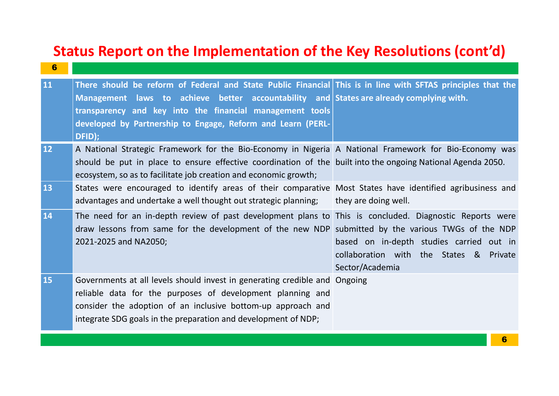| $6\phantom{1}6$ | Status Report on the Implementation of the Key Resolutions (cont'd)                                                                                                                                                                                                                                                                         |                                                                                                        |
|-----------------|---------------------------------------------------------------------------------------------------------------------------------------------------------------------------------------------------------------------------------------------------------------------------------------------------------------------------------------------|--------------------------------------------------------------------------------------------------------|
| 11              | There should be reform of Federal and State Public Financial This is in line with SFTAS principles that the<br>Management laws to achieve better accountability and States are already complying with.<br>transparency and key into the financial management tools<br>developed by Partnership to Engage, Reform and Learn (PERL-<br>DFID); |                                                                                                        |
| 12 <sup>°</sup> | A National Strategic Framework for the Bio-Economy in Nigeria A National Framework for Bio-Economy was<br>should be put in place to ensure effective coordination of the built into the ongoing National Agenda 2050.<br>ecosystem, so as to facilitate job creation and economic growth;                                                   |                                                                                                        |
| 13              | States were encouraged to identify areas of their comparative Most States have identified agribusiness and<br>advantages and undertake a well thought out strategic planning;                                                                                                                                                               | they are doing well.                                                                                   |
| <b>14</b>       | The need for an in-depth review of past development plans to This is concluded. Diagnostic Reports were<br>draw lessons from same for the development of the new NDP submitted by the various TWGs of the NDP<br>2021-2025 and NA2050;                                                                                                      | based on in-depth studies carried out in<br>collaboration with the States & Private<br>Sector/Academia |
| 15              | Governments at all levels should invest in generating credible and Ongoing<br>reliable data for the purposes of development planning and<br>consider the adoption of an inclusive bottom-up approach and<br>integrate SDG goals in the preparation and development of NDP;                                                                  |                                                                                                        |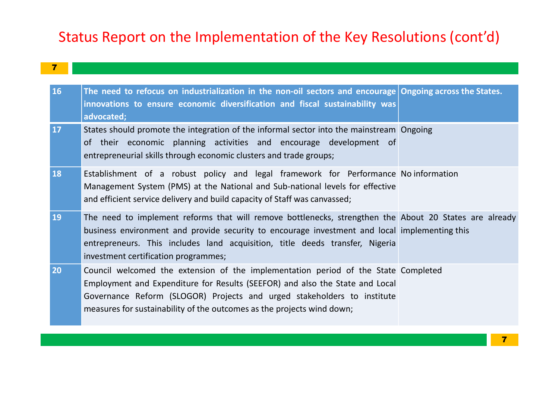| $7$ |  |  |  |
|-----|--|--|--|
|     |  |  |  |

|                         | Status Report on the Implementation of the Key Resolutions (cont'd)                                                                                                                                                                                                                                                             |  |  |
|-------------------------|---------------------------------------------------------------------------------------------------------------------------------------------------------------------------------------------------------------------------------------------------------------------------------------------------------------------------------|--|--|
| $\overline{\mathbf{7}}$ |                                                                                                                                                                                                                                                                                                                                 |  |  |
| <b>16</b>               | The need to refocus on industrialization in the non-oil sectors and encourage Ongoing across the States.<br>innovations to ensure economic diversification and fiscal sustainability was<br>advocated;                                                                                                                          |  |  |
| <b>17</b>               | States should promote the integration of the informal sector into the mainstream Ongoing<br>of their economic planning activities and encourage development of<br>entrepreneurial skills through economic clusters and trade groups;                                                                                            |  |  |
| <b>18</b>               | Establishment of a robust policy and legal framework for Performance Noinformation<br>Management System (PMS) at the National and Sub-national levels for effective<br>and efficient service delivery and build capacity of Staff was canvassed;                                                                                |  |  |
| <b>19</b>               | The need to implement reforms that will remove bottlenecks, strengthen the About 20 States are already<br>business environment and provide security to encourage investment and local implementing this<br>entrepreneurs. This includes land acquisition, title deeds transfer, Nigeria<br>investment certification programmes; |  |  |
| 20                      | Council welcomed the extension of the implementation period of the State Completed<br>Employment and Expenditure for Results (SEEFOR) and also the State and Local<br>Governance Reform (SLOGOR) Projects and urged stakeholders to institute<br>measures for sustainability of the outcomes as the projects wind down;         |  |  |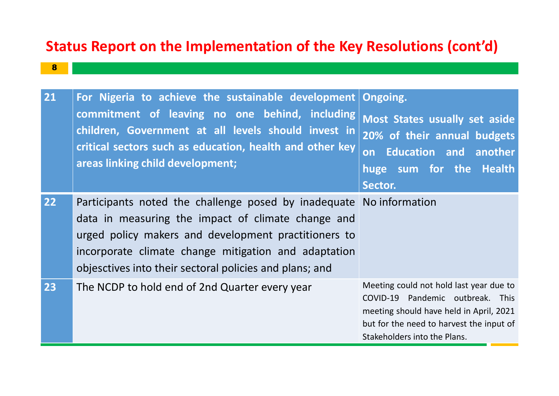#### 8 | Kabupatén Bandung Kabupatén Kabupatén Ing Kabupatén Kabupatén Kabupatén Kabupatén Ka

| Status Report on the Implementation of the Key Resolutions (cont'd)<br>8 |                                                                                                                                                                                                                                                                                                      |                                                                                                                                                                                                    |  |
|--------------------------------------------------------------------------|------------------------------------------------------------------------------------------------------------------------------------------------------------------------------------------------------------------------------------------------------------------------------------------------------|----------------------------------------------------------------------------------------------------------------------------------------------------------------------------------------------------|--|
| 21                                                                       | For Nigeria to achieve the sustainable development   Ongoing.                                                                                                                                                                                                                                        |                                                                                                                                                                                                    |  |
|                                                                          | commitment of leaving no one behind, including<br>children, Government at all levels should invest in<br>critical sectors such as education, health and other key<br>areas linking child development;                                                                                                | Most States usually set aside<br>20% of their annual budgets<br><b>Education and another</b><br>huge sum for the Health<br>Sector.                                                                 |  |
| $\overline{22}$                                                          | Participants noted the challenge posed by inadequate No information<br>data in measuring the impact of climate change and<br>urged policy makers and development practitioners to<br>incorporate climate change mitigation and adaptation<br>objesctives into their sectoral policies and plans; and |                                                                                                                                                                                                    |  |
| 23                                                                       | The NCDP to hold end of 2nd Quarter every year                                                                                                                                                                                                                                                       | Meeting could not hold last year due to<br>COVID-19 Pandemic outbreak. This<br>meeting should have held in April, 2021<br>but for the need to harvest the input of<br>Stakeholders into the Plans. |  |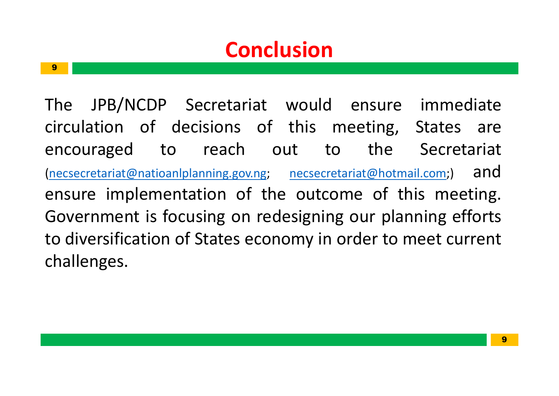## **Conclusion**

9 - Johann Barn, amerikansk politiker († 1908)<br>1908 - Johann Barn, amerikansk politiker († 1908)

**Conclusion**<br>The JPB/NCDP Secretariat would ensure<br>circulation of decisions of this meeting,<br>encouraged to reach out to the **Conclusion**<br>The JPB/NCDP Secretariat would ensure immed<br>circulation of decisions of this meeting, States<br>encouraged to reach out to the Secreta<br>(necsecretariat@natioanlplanning.gov.ng; necsecretariat@hotmail.com;) **Conclusion**<br>The JPB/NCDP Secretariat would ensure<br>circulation of decisions of this meeting, S<br>encouraged to reach out to the<br>(nessecretariat@natioanlplanning.gov.ng; nessecretariat@hotmail<br>ensure implementation of the out (necsecretariat@natioanlplanning.gov.ng; necsecretariat@hotmail.com;) and ensure implementation of the outcome of this meeting. **Solution Concreasion**<br>The JPB/NCDP Secretariat would ensure imm<br>circulation of decisions of this meeting, State<br>encouraged to reach out to the Secretariat<br>(necsecretariat@natioanlplanning.gov.ng; necsecretariat@hotmail.co The JPB/NCDP Secretariat would ensure<br>circulation of decisions of this meeting,<br>encouraged to reach out to the<br>(necsecretariat@natioanlplanning.gov.ng; necsecretariat@hotma<br>ensure implementation of the outcome of th<br>Govern challenges. **usion**<br>would ensure immediate<br>this meeting, States are<br>ut to the Secretariat **Ision**<br>
would ensure immediate<br>
this meeting, States are<br>
it to the Secretariat<br>
<u>necsecretariat@hotmail.com</u>;) and **n**<br>d ensure immediate<br>meeting, States are<br>to the Secretariat<br><u>retariat@hotmail.com</u>;) and<br>come of this meeting. ensure immediate<br>
eeting, States are<br>
the Secretariat<br>
riat@hotmail.com;) and<br>
ne of this meeting.<br>
our planning efforts<br>
der to meet current Id ensure immediate<br>meeting, States are<br>to the Secretariat<br>expresentation (contention) and<br>toome of this meeting.<br>ing our planning efforts<br>in order to meet current